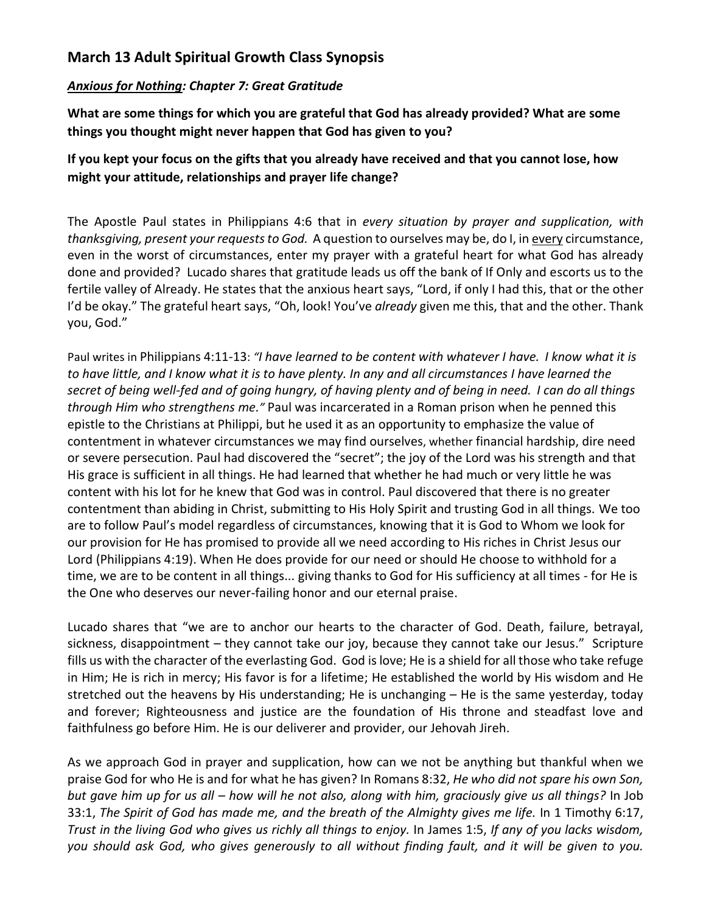## **March 13 Adult Spiritual Growth Class Synopsis**

## *Anxious for Nothing: Chapter 7: Great Gratitude*

**What are some things for which you are grateful that God has already provided? What are some things you thought might never happen that God has given to you?**

## **If you kept your focus on the gifts that you already have received and that you cannot lose, how might your attitude, relationships and prayer life change?**

The Apostle Paul states in Philippians 4:6 that in *every situation by prayer and supplication, with thanksgiving, present your requests to God.* A question to ourselves may be, do I, in every circumstance, even in the worst of circumstances, enter my prayer with a grateful heart for what God has already done and provided? Lucado shares that gratitude leads us off the bank of If Only and escorts us to the fertile valley of Already. He states that the anxious heart says, "Lord, if only I had this, that or the other I'd be okay." The grateful heart says, "Oh, look! You've *already* given me this, that and the other. Thank you, God."

Paul writes in Philippians 4:11-13: *"I have learned to be content with whatever I have. I know what it is to have little, and I know what it is to have plenty. In any and all circumstances I have learned the secret of being well-fed and of going hungry, of having plenty and of being in need. I can do all things through Him who strengthens me."* Paul was incarcerated in a Roman prison when he penned this epistle to the Christians at Philippi, but he used it as an opportunity to emphasize the value of contentment in whatever circumstances we may find ourselves, whether financial hardship, dire need or severe persecution. Paul had discovered the "secret"; the joy of the Lord was his strength and that His grace is sufficient in all things. He had learned that whether he had much or very little he was content with his lot for he knew that God was in control. Paul discovered that there is no greater contentment than abiding in Christ, submitting to His Holy Spirit and trusting God in all things. We too are to follow Paul's model regardless of circumstances, knowing that it is God to Whom we look for our provision for He has promised to provide all we need according to His riches in Christ Jesus our Lord (Philippians 4:19). When He does provide for our need or should He choose to withhold for a time, we are to be content in all things... giving thanks to God for His sufficiency at all times - for He is the One who deserves our never-failing honor and our eternal praise.

Lucado shares that "we are to anchor our hearts to the character of God. Death, failure, betrayal, sickness, disappointment – they cannot take our joy, because they cannot take our Jesus." Scripture fills us with the character of the everlasting God. God is love; He is a shield for all those who take refuge in Him; He is rich in mercy; His favor is for a lifetime; He established the world by His wisdom and He stretched out the heavens by His understanding; He is unchanging – He is the same yesterday, today and forever; Righteousness and justice are the foundation of His throne and steadfast love and faithfulness go before Him. He is our deliverer and provider, our Jehovah Jireh.

As we approach God in prayer and supplication, how can we not be anything but thankful when we praise God for who He is and for what he has given? In Romans 8:32, *He who did not spare his own Son, but gave him up for us all – how will he not also, along with him, graciously give us all things?* In Job 33:1, *The Spirit of God has made me, and the breath of the Almighty gives me life.* In 1 Timothy 6:17, *Trust in the living God who gives us richly all things to enjoy.* In James 1:5, *If any of you lacks wisdom, you should ask God, who gives generously to all without finding fault, and it will be given to you.*